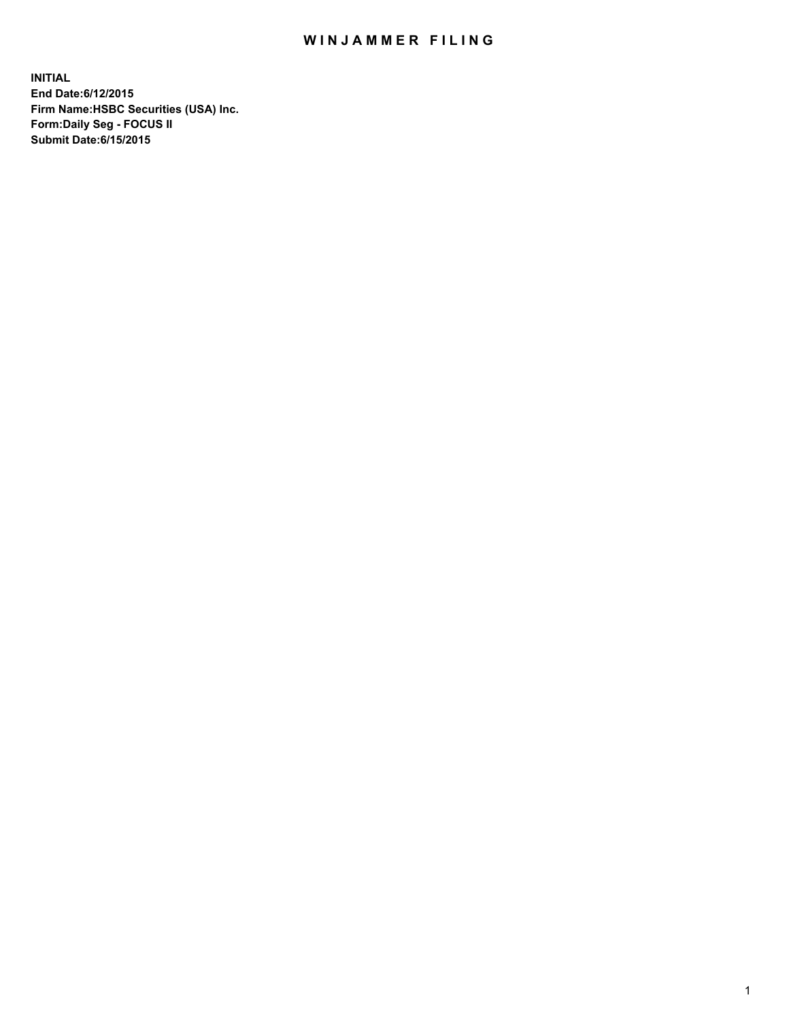## WIN JAMMER FILING

**INITIAL End Date:6/12/2015 Firm Name:HSBC Securities (USA) Inc. Form:Daily Seg - FOCUS II Submit Date:6/15/2015**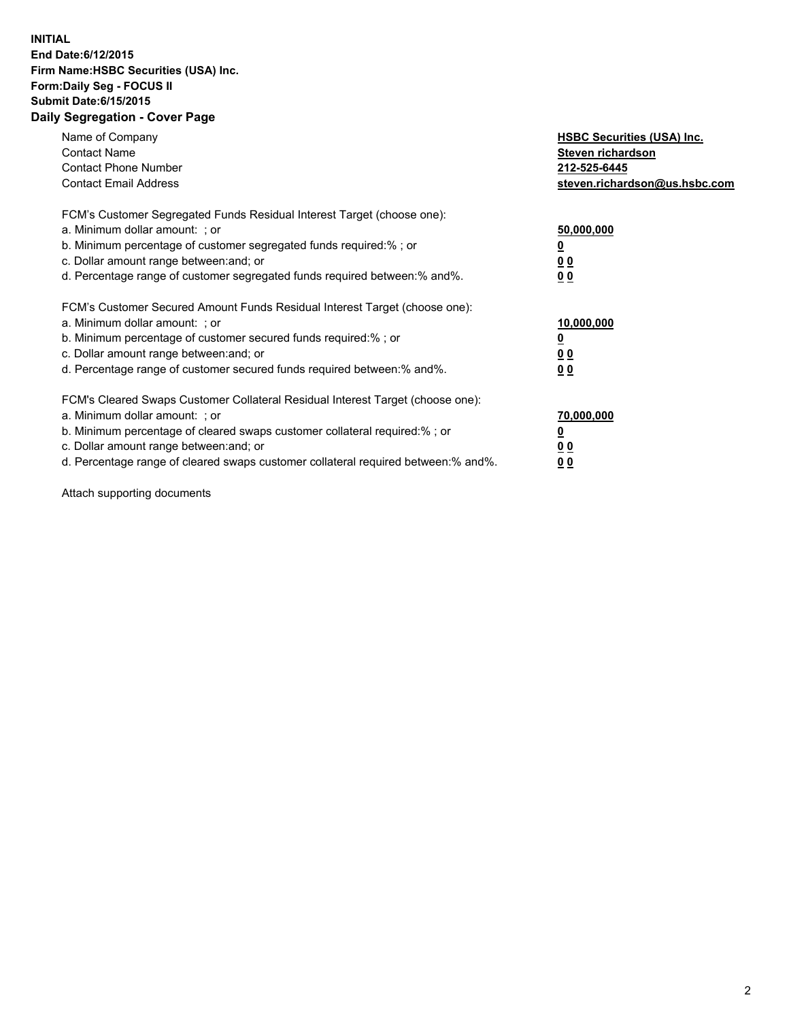## **INITIAL End Date:6/12/2015 Firm Name:HSBC Securities (USA) Inc. Form:Daily Seg - FOCUS II Submit Date:6/15/2015 Daily Segregation - Cover Page**

| Name of Company<br><b>Contact Name</b><br><b>Contact Phone Number</b><br><b>Contact Email Address</b>                                                                                                                                                                                                                          | <b>HSBC Securities (USA) Inc.</b><br>Steven richardson<br>212-525-6445<br>steven.richardson@us.hsbc.com |
|--------------------------------------------------------------------------------------------------------------------------------------------------------------------------------------------------------------------------------------------------------------------------------------------------------------------------------|---------------------------------------------------------------------------------------------------------|
| FCM's Customer Segregated Funds Residual Interest Target (choose one):<br>a. Minimum dollar amount: ; or<br>b. Minimum percentage of customer segregated funds required:%; or<br>c. Dollar amount range between: and; or<br>d. Percentage range of customer segregated funds required between: % and %.                        | 50,000,000<br>0 <sub>0</sub><br>0 <sub>0</sub>                                                          |
| FCM's Customer Secured Amount Funds Residual Interest Target (choose one):<br>a. Minimum dollar amount: ; or<br>b. Minimum percentage of customer secured funds required:%; or<br>c. Dollar amount range between: and; or<br>d. Percentage range of customer secured funds required between:% and%.                            | 10,000,000<br><u>0</u><br>0 <sub>0</sub><br>0 <sub>0</sub>                                              |
| FCM's Cleared Swaps Customer Collateral Residual Interest Target (choose one):<br>a. Minimum dollar amount: ; or<br>b. Minimum percentage of cleared swaps customer collateral required:% ; or<br>c. Dollar amount range between: and; or<br>d. Percentage range of cleared swaps customer collateral required between:% and%. | 70,000,000<br>00<br><u>00</u>                                                                           |

Attach supporting documents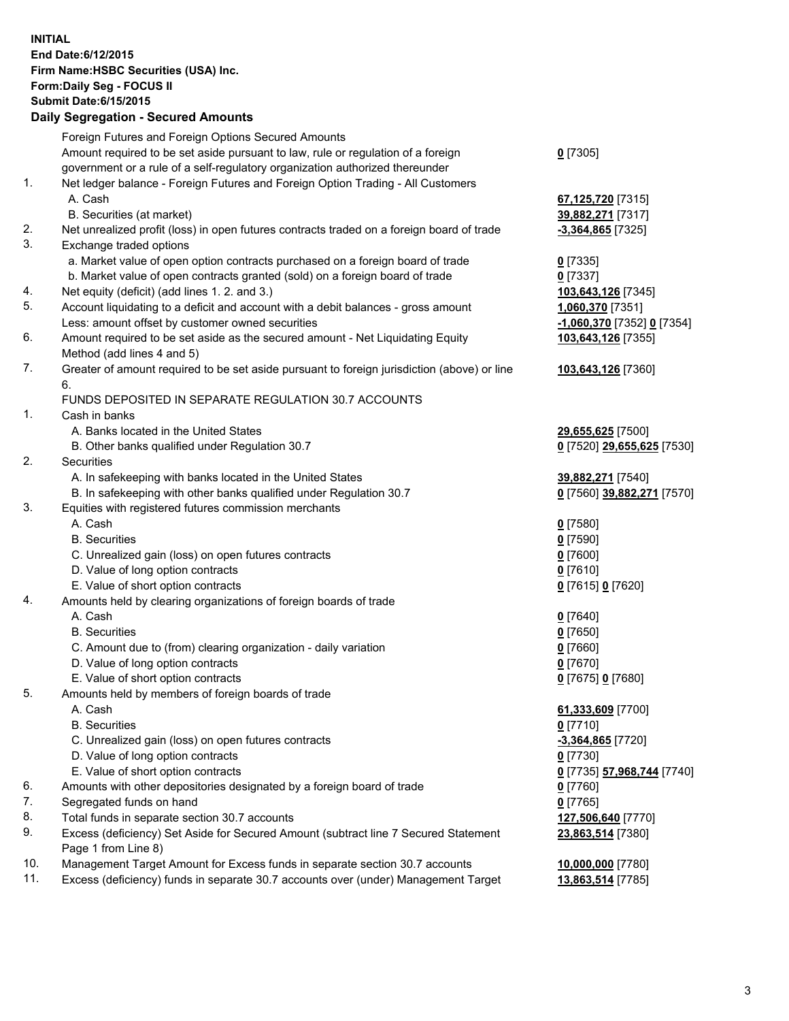**INITIAL End Date:6/12/2015 Firm Name:HSBC Securities (USA) Inc. Form:Daily Seg - FOCUS II Submit Date:6/15/2015 Daily Segregation - Secured Amounts**

|          | Foreign Futures and Foreign Options Secured Amounts                                                        |                            |
|----------|------------------------------------------------------------------------------------------------------------|----------------------------|
|          | Amount required to be set aside pursuant to law, rule or regulation of a foreign                           | $0$ [7305]                 |
|          | government or a rule of a self-regulatory organization authorized thereunder                               |                            |
| 1.       | Net ledger balance - Foreign Futures and Foreign Option Trading - All Customers                            |                            |
|          | A. Cash                                                                                                    | 67,125,720 [7315]          |
|          | B. Securities (at market)                                                                                  | 39,882,271 [7317]          |
| 2.       | Net unrealized profit (loss) in open futures contracts traded on a foreign board of trade                  | -3,364,865 [7325]          |
| 3.       | Exchange traded options                                                                                    |                            |
|          | a. Market value of open option contracts purchased on a foreign board of trade                             | $0$ [7335]                 |
|          | b. Market value of open contracts granted (sold) on a foreign board of trade                               | $0$ [7337]                 |
| 4.       | Net equity (deficit) (add lines 1. 2. and 3.)                                                              | 103,643,126 [7345]         |
| 5.       | Account liquidating to a deficit and account with a debit balances - gross amount                          | 1,060,370 [7351]           |
|          | Less: amount offset by customer owned securities                                                           | -1,060,370 [7352] 0 [7354] |
| 6.       | Amount required to be set aside as the secured amount - Net Liquidating Equity                             | 103,643,126 [7355]         |
|          | Method (add lines 4 and 5)                                                                                 |                            |
| 7.       | Greater of amount required to be set aside pursuant to foreign jurisdiction (above) or line                | 103,643,126 [7360]         |
|          | 6.                                                                                                         |                            |
|          | FUNDS DEPOSITED IN SEPARATE REGULATION 30.7 ACCOUNTS                                                       |                            |
| 1.       | Cash in banks                                                                                              |                            |
|          | A. Banks located in the United States                                                                      | 29,655,625 [7500]          |
|          | B. Other banks qualified under Regulation 30.7                                                             | 0 [7520] 29,655,625 [7530] |
| 2.       | Securities                                                                                                 |                            |
|          | A. In safekeeping with banks located in the United States                                                  | 39,882,271 [7540]          |
|          | B. In safekeeping with other banks qualified under Regulation 30.7                                         | 0 [7560] 39,882,271 [7570] |
| 3.       | Equities with registered futures commission merchants                                                      |                            |
|          | A. Cash                                                                                                    | $0$ [7580]                 |
|          | <b>B.</b> Securities                                                                                       | $0$ [7590]                 |
|          | C. Unrealized gain (loss) on open futures contracts                                                        | $0$ [7600]                 |
|          | D. Value of long option contracts                                                                          | $0$ [7610]                 |
|          | E. Value of short option contracts                                                                         | 0 [7615] 0 [7620]          |
| 4.       | Amounts held by clearing organizations of foreign boards of trade                                          |                            |
|          | A. Cash                                                                                                    | $0$ [7640]                 |
|          | <b>B.</b> Securities                                                                                       | $0$ [7650]                 |
|          | C. Amount due to (from) clearing organization - daily variation                                            | $0$ [7660]                 |
|          | D. Value of long option contracts                                                                          | $0$ [7670]                 |
|          | E. Value of short option contracts                                                                         | 0 [7675] 0 [7680]          |
| 5.       | Amounts held by members of foreign boards of trade                                                         |                            |
|          | A. Cash                                                                                                    | 61,333,609 [7700]          |
|          | <b>B.</b> Securities                                                                                       | $0$ [7710]                 |
|          | C. Unrealized gain (loss) on open futures contracts                                                        | -3,364,865 [7720]          |
|          | D. Value of long option contracts                                                                          | $0$ [7730]                 |
|          | E. Value of short option contracts                                                                         | 0 [7735] 57,968,744 [7740] |
| 6.       | Amounts with other depositories designated by a foreign board of trade                                     | 0 [7760]                   |
| 7.       | Segregated funds on hand                                                                                   | $0$ [7765]                 |
| 8.<br>9. | Total funds in separate section 30.7 accounts                                                              | 127,506,640 [7770]         |
|          | Excess (deficiency) Set Aside for Secured Amount (subtract line 7 Secured Statement<br>Page 1 from Line 8) | 23,863,514 [7380]          |
| 10.      | Management Target Amount for Excess funds in separate section 30.7 accounts                                | 10,000,000 [7780]          |
| 11.      | Excess (deficiency) funds in separate 30.7 accounts over (under) Management Target                         | 13,863,514 [7785]          |
|          |                                                                                                            |                            |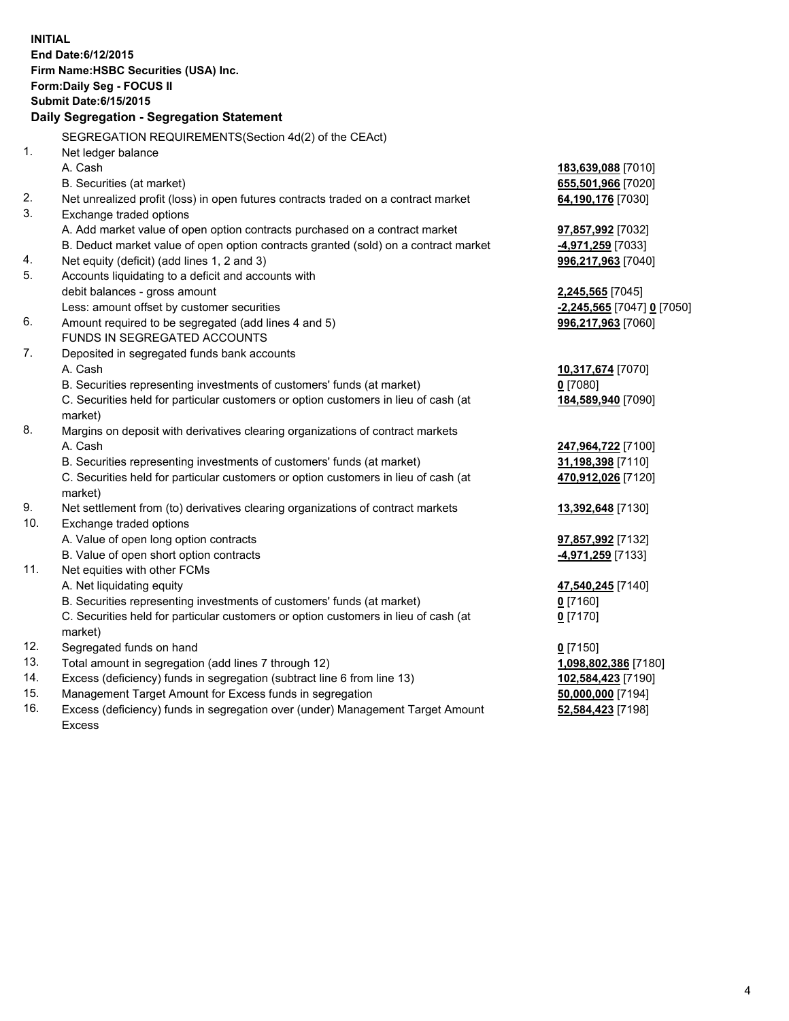|                                       | <b>INITIAL</b>                                                                                                |                            |  |  |  |  |
|---------------------------------------|---------------------------------------------------------------------------------------------------------------|----------------------------|--|--|--|--|
| End Date: 6/12/2015                   |                                                                                                               |                            |  |  |  |  |
| Firm Name: HSBC Securities (USA) Inc. |                                                                                                               |                            |  |  |  |  |
| Form: Daily Seg - FOCUS II            |                                                                                                               |                            |  |  |  |  |
|                                       | <b>Submit Date: 6/15/2015</b>                                                                                 |                            |  |  |  |  |
|                                       | Daily Segregation - Segregation Statement                                                                     |                            |  |  |  |  |
|                                       |                                                                                                               |                            |  |  |  |  |
|                                       | SEGREGATION REQUIREMENTS(Section 4d(2) of the CEAct)                                                          |                            |  |  |  |  |
| 1.                                    | Net ledger balance                                                                                            |                            |  |  |  |  |
|                                       | A. Cash                                                                                                       | 183,639,088 [7010]         |  |  |  |  |
|                                       | B. Securities (at market)                                                                                     | 655,501,966 [7020]         |  |  |  |  |
| 2.<br>3.                              | Net unrealized profit (loss) in open futures contracts traded on a contract market<br>Exchange traded options | 64,190,176 [7030]          |  |  |  |  |
|                                       | A. Add market value of open option contracts purchased on a contract market                                   | 97,857,992 [7032]          |  |  |  |  |
|                                       | B. Deduct market value of open option contracts granted (sold) on a contract market                           | 4,971,259 [7033]           |  |  |  |  |
| 4.                                    | Net equity (deficit) (add lines 1, 2 and 3)                                                                   | 996,217,963 [7040]         |  |  |  |  |
| 5.                                    | Accounts liquidating to a deficit and accounts with                                                           |                            |  |  |  |  |
|                                       | debit balances - gross amount                                                                                 | 2,245,565 [7045]           |  |  |  |  |
|                                       | Less: amount offset by customer securities                                                                    | -2,245,565 [7047] 0 [7050] |  |  |  |  |
| 6.                                    | Amount required to be segregated (add lines 4 and 5)                                                          | 996,217,963 [7060]         |  |  |  |  |
|                                       | FUNDS IN SEGREGATED ACCOUNTS                                                                                  |                            |  |  |  |  |
| 7.                                    | Deposited in segregated funds bank accounts                                                                   |                            |  |  |  |  |
|                                       | A. Cash                                                                                                       | 10,317,674 [7070]          |  |  |  |  |
|                                       | B. Securities representing investments of customers' funds (at market)                                        | $0$ [7080]                 |  |  |  |  |
|                                       | C. Securities held for particular customers or option customers in lieu of cash (at                           | 184,589,940 [7090]         |  |  |  |  |
|                                       | market)                                                                                                       |                            |  |  |  |  |
| 8.                                    | Margins on deposit with derivatives clearing organizations of contract markets                                |                            |  |  |  |  |
|                                       | A. Cash                                                                                                       | 247,964,722 [7100]         |  |  |  |  |
|                                       | B. Securities representing investments of customers' funds (at market)                                        | 31,198,398 [7110]          |  |  |  |  |
|                                       | C. Securities held for particular customers or option customers in lieu of cash (at                           | 470,912,026 [7120]         |  |  |  |  |
|                                       | market)                                                                                                       |                            |  |  |  |  |
| 9.                                    | Net settlement from (to) derivatives clearing organizations of contract markets                               | 13,392,648 [7130]          |  |  |  |  |
| 10.                                   | Exchange traded options                                                                                       |                            |  |  |  |  |
|                                       | A. Value of open long option contracts                                                                        | 97,857,992 [7132]          |  |  |  |  |
|                                       | B. Value of open short option contracts                                                                       | 4,971,259 [7133]           |  |  |  |  |
| 11.                                   | Net equities with other FCMs                                                                                  |                            |  |  |  |  |
|                                       | A. Net liquidating equity                                                                                     | 47,540,245 [7140]          |  |  |  |  |
|                                       | B. Securities representing investments of customers' funds (at market)                                        | $0$ [7160]                 |  |  |  |  |
|                                       | C. Securities held for particular customers or option customers in lieu of cash (at                           | 0 <sup>[7170]</sup>        |  |  |  |  |
|                                       | market)                                                                                                       |                            |  |  |  |  |
| 12.                                   | Segregated funds on hand                                                                                      | $0$ [7150]                 |  |  |  |  |
| 13.                                   | Total amount in segregation (add lines 7 through 12)                                                          | 1,098,802,386 [7180]       |  |  |  |  |
| 14.                                   | Excess (deficiency) funds in segregation (subtract line 6 from line 13)                                       | 102,584,423 [7190]         |  |  |  |  |
| 15.                                   | Management Target Amount for Excess funds in segregation                                                      | 50,000,000 [7194]          |  |  |  |  |
| 16.                                   | Excess (deficiency) funds in segregation over (under) Management Target Amount                                | 52,584,423 [7198]          |  |  |  |  |

Excess